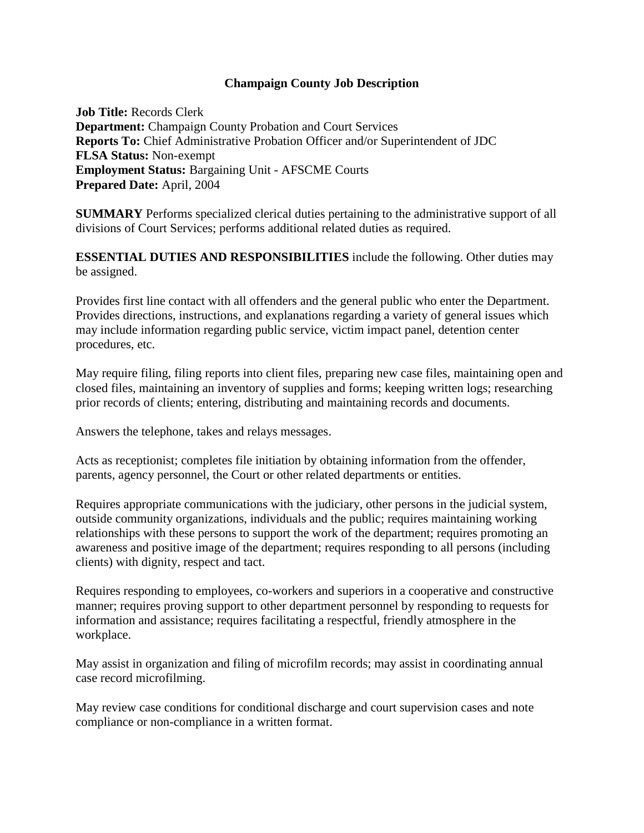## **Champaign County Job Description**

**Job Title:** Records Clerk **Department:** Champaign County Probation and Court Services **Reports To:** Chief Administrative Probation Officer and/or Superintendent of JDC **FLSA Status:** Non-exempt **Employment Status:** Bargaining Unit - AFSCME Courts **Prepared Date:** April, 2004

**SUMMARY** Performs specialized clerical duties pertaining to the administrative support of all divisions of Court Services; performs additional related duties as required.

**ESSENTIAL DUTIES AND RESPONSIBILITIES** include the following. Other duties may be assigned.

Provides first line contact with all offenders and the general public who enter the Department. Provides directions, instructions, and explanations regarding a variety of general issues which may include information regarding public service, victim impact panel, detention center procedures, etc.

 May require filing, filing reports into client files, preparing new case files, maintaining open and closed files, maintaining an inventory of supplies and forms; keeping written logs; researching prior records of clients; entering, distributing and maintaining records and documents.

Answers the telephone, takes and relays messages.

Acts as receptionist; completes file initiation by obtaining information from the offender, parents, agency personnel, the Court or other related departments or entities.

Requires appropriate communications with the judiciary, other persons in the judicial system, outside community organizations, individuals and the public; requires maintaining working relationships with these persons to support the work of the department; requires promoting an awareness and positive image of the department; requires responding to all persons (including clients) with dignity, respect and tact.

Requires responding to employees, co-workers and superiors in a cooperative and constructive manner; requires proving support to other department personnel by responding to requests for information and assistance; requires facilitating a respectful, friendly atmosphere in the workplace.

May assist in organization and filing of microfilm records; may assist in coordinating annual case record microfilming.

 May review case conditions for conditional discharge and court supervision cases and note compliance or non-compliance in a written format.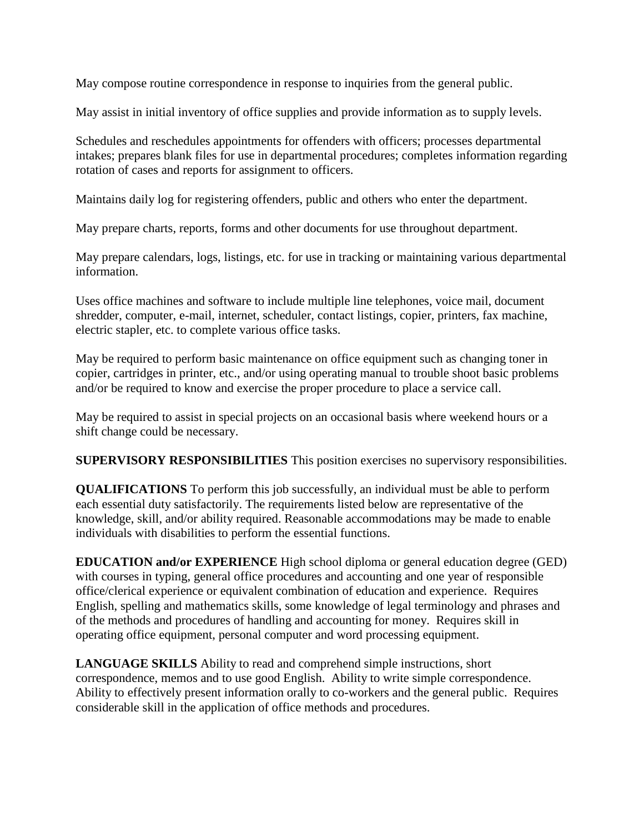May compose routine correspondence in response to inquiries from the general public.

May assist in initial inventory of office supplies and provide information as to supply levels.

Schedules and reschedules appointments for offenders with officers; processes departmental intakes; prepares blank files for use in departmental procedures; completes information regarding rotation of cases and reports for assignment to officers.

Maintains daily log for registering offenders, public and others who enter the department.

May prepare charts, reports, forms and other documents for use throughout department.

May prepare calendars, logs, listings, etc. for use in tracking or maintaining various departmental information.

Uses office machines and software to include multiple line telephones, voice mail, document shredder, computer, e-mail, internet, scheduler, contact listings, copier, printers, fax machine, electric stapler, etc. to complete various office tasks.

May be required to perform basic maintenance on office equipment such as changing toner in copier, cartridges in printer, etc., and/or using operating manual to trouble shoot basic problems and/or be required to know and exercise the proper procedure to place a service call.

May be required to assist in special projects on an occasional basis where weekend hours or a shift change could be necessary.

**SUPERVISORY RESPONSIBILITIES** This position exercises no supervisory responsibilities.

**QUALIFICATIONS** To perform this job successfully, an individual must be able to perform each essential duty satisfactorily. The requirements listed below are representative of the knowledge, skill, and/or ability required. Reasonable accommodations may be made to enable individuals with disabilities to perform the essential functions.

 with courses in typing, general office procedures and accounting and one year of responsible **EDUCATION and/or EXPERIENCE** High school diploma or general education degree (GED) office/clerical experience or equivalent combination of education and experience. Requires English, spelling and mathematics skills, some knowledge of legal terminology and phrases and of the methods and procedures of handling and accounting for money. Requires skill in operating office equipment, personal computer and word processing equipment.

**LANGUAGE SKILLS** Ability to read and comprehend simple instructions, short correspondence, memos and to use good English. Ability to write simple correspondence. Ability to effectively present information orally to co-workers and the general public. Requires considerable skill in the application of office methods and procedures.